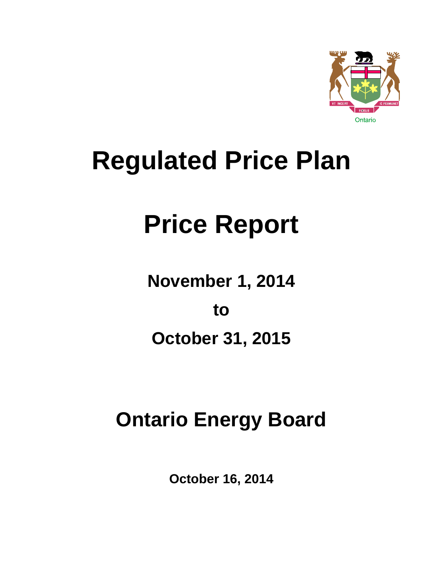

## **Regulated Price Plan**

# **Price Report**

**November 1, 2014** 

**to** 

**October 31, 2015** 

## **Ontario Energy Board**

**October 16, 2014**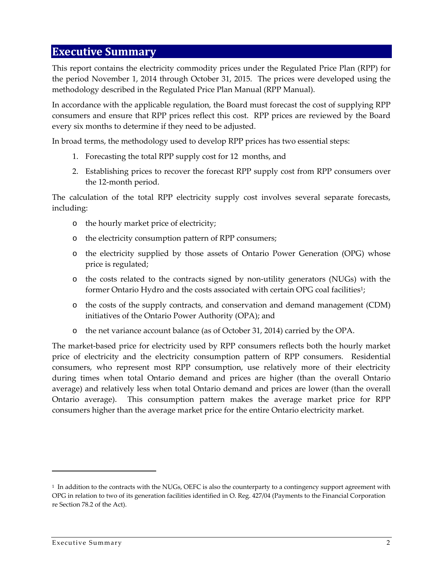#### **Executive Summary**

This report contains the electricity commodity prices under the Regulated Price Plan (RPP) for the period November 1, 2014 through October 31, 2015. The prices were developed using the methodology described in the Regulated Price Plan Manual (RPP Manual).

In accordance with the applicable regulation, the Board must forecast the cost of supplying RPP consumers and ensure that RPP prices reflect this cost. RPP prices are reviewed by the Board every six months to determine if they need to be adjusted.

In broad terms, the methodology used to develop RPP prices has two essential steps:

- 1. Forecasting the total RPP supply cost for 12 months, and
- 2. Establishing prices to recover the forecast RPP supply cost from RPP consumers over the 12‐month period.

The calculation of the total RPP electricity supply cost involves several separate forecasts, including:

- o the hourly market price of electricity;
- o the electricity consumption pattern of RPP consumers;
- o the electricity supplied by those assets of Ontario Power Generation (OPG) whose price is regulated;
- o the costs related to the contracts signed by non‐utility generators (NUGs) with the former Ontario Hydro and the costs associated with certain OPG coal facilities<sup>1</sup>;
- o the costs of the supply contracts, and conservation and demand management (CDM) initiatives of the Ontario Power Authority (OPA); and
- o the net variance account balance (as of October 31, 2014) carried by the OPA.

The market-based price for electricity used by RPP consumers reflects both the hourly market price of electricity and the electricity consumption pattern of RPP consumers. Residential consumers, who represent most RPP consumption, use relatively more of their electricity during times when total Ontario demand and prices are higher (than the overall Ontario average) and relatively less when total Ontario demand and prices are lower (than the overall Ontario average). This consumption pattern makes the average market price for RPP consumers higher than the average market price for the entire Ontario electricity market.

<sup>&</sup>lt;sup>1</sup> In addition to the contracts with the NUGs, OEFC is also the counterparty to a contingency support agreement with OPG in relation to two of its generation facilities identified in O. Reg. 427/04 (Payments to the Financial Corporation re Section 78.2 of the Act).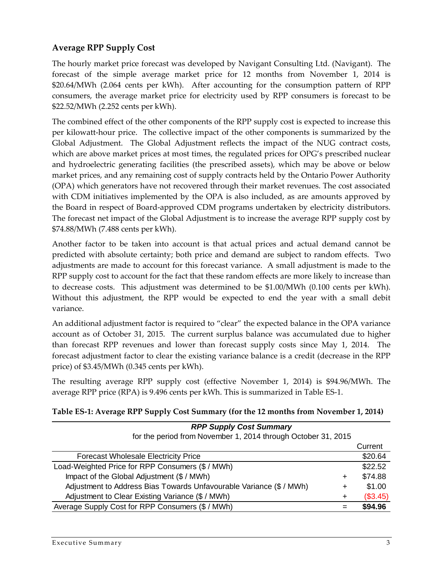#### **Average RPP Supply Cost**

The hourly market price forecast was developed by Navigant Consulting Ltd. (Navigant). The forecast of the simple average market price for 12 months from November 1, 2014 is \$20.64/MWh (2.064 cents per kWh). After accounting for the consumption pattern of RPP consumers, the average market price for electricity used by RPP consumers is forecast to be \$22.52/MWh (2.252 cents per kWh).

The combined effect of the other components of the RPP supply cost is expected to increase this per kilowatt‐hour price. The collective impact of the other components is summarized by the Global Adjustment. The Global Adjustment reflects the impact of the NUG contract costs, which are above market prices at most times, the regulated prices for OPG's prescribed nuclear and hydroelectric generating facilities (the prescribed assets), which may be above or below market prices, and any remaining cost of supply contracts held by the Ontario Power Authority (OPA) which generators have not recovered through their market revenues. The cost associated with CDM initiatives implemented by the OPA is also included, as are amounts approved by the Board in respect of Board‐approved CDM programs undertaken by electricity distributors. The forecast net impact of the Global Adjustment is to increase the average RPP supply cost by \$74.88/MWh (7.488 cents per kWh).

Another factor to be taken into account is that actual prices and actual demand cannot be predicted with absolute certainty; both price and demand are subject to random effects. Two adjustments are made to account for this forecast variance. A small adjustment is made to the RPP supply cost to account for the fact that these random effects are more likely to increase than to decrease costs. This adjustment was determined to be \$1.00/MWh (0.100 cents per kWh). Without this adjustment, the RPP would be expected to end the year with a small debit variance.

An additional adjustment factor is required to "clear" the expected balance in the OPA variance account as of October 31, 2015. The current surplus balance was accumulated due to higher than forecast RPP revenues and lower than forecast supply costs since May 1, 2014. The forecast adjustment factor to clear the existing variance balance is a credit (decrease in the RPP price) of \$3.45/MWh (0.345 cents per kWh).

The resulting average RPP supply cost (effective November 1, 2014) is \$94.96/MWh. The average RPP price (RPA) is 9.496 cents per kWh. This is summarized in Table ES‐1.

| <b>RPP Supply Cost Summary</b>                                                |          |
|-------------------------------------------------------------------------------|----------|
| for the period from November 1, 2014 through October 31, 2015                 |          |
|                                                                               | Current  |
| <b>Forecast Wholesale Electricity Price</b>                                   | \$20.64  |
| Load-Weighted Price for RPP Consumers (\$ / MWh)                              | \$22.52  |
| Impact of the Global Adjustment (\$ / MWh)<br>$\ddot{}$                       | \$74.88  |
| Adjustment to Address Bias Towards Unfavourable Variance (\$ / MWh)<br>$\div$ | \$1.00   |
| Adjustment to Clear Existing Variance (\$ / MWh)<br>$\ddot{}$                 | (\$3.45) |
| Average Supply Cost for RPP Consumers (\$ / MWh)                              | \$94.96  |

#### **Table ES‐1: Average RPP Supply Cost Summary (for the 12 months from November 1, 2014)**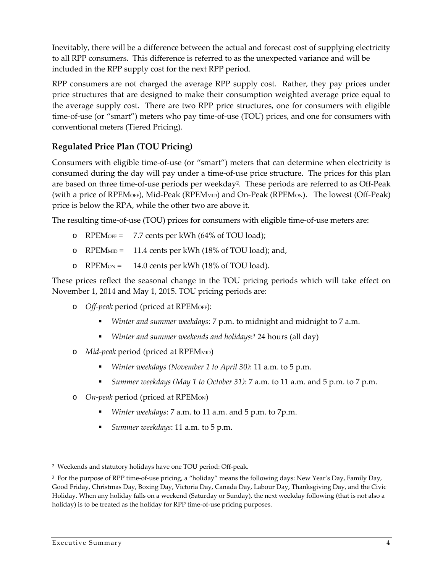Inevitably, there will be a difference between the actual and forecast cost of supplying electricity to all RPP consumers. This difference is referred to as the unexpected variance and will be included in the RPP supply cost for the next RPP period.

RPP consumers are not charged the average RPP supply cost. Rather, they pay prices under price structures that are designed to make their consumption weighted average price equal to the average supply cost. There are two RPP price structures, one for consumers with eligible time-of-use (or "smart") meters who pay time-of-use (TOU) prices, and one for consumers with conventional meters (Tiered Pricing).

#### **Regulated Price Plan (TOU Pricing)**

Consumers with eligible time‐of‐use (or "smart") meters that can determine when electricity is consumed during the day will pay under a time‐of‐use price structure. The prices for this plan are based on three time-of-use periods per weekday<sup>2</sup>. These periods are referred to as Off-Peak (with a price of RPEMOFF), Mid-Peak (RPEMMID) and On-Peak (RPEMON). The lowest (Off-Peak) price is below the RPA, while the other two are above it.

The resulting time-of-use (TOU) prices for consumers with eligible time-of-use meters are:

- o RPEMOFF =  $7.7$  cents per kWh (64% of TOU load);
- o RPEMMID = 11.4 cents per kWh (18% of TOU load); and,
- o RPEM $\omega$  = 14.0 cents per kWh (18% of TOU load).

These prices reflect the seasonal change in the TOU pricing periods which will take effect on November 1, 2014 and May 1, 2015. TOU pricing periods are:

- o *Off‐peak* period (priced at RPEMOFF):
	- *Winter and summer weekdays*: 7 p.m. to midnight and midnight to 7 a.m.
	- *Winter and summer weekends and holidays*:<sup>3</sup> 24 hours (all day)
- o *Mid‐peak* period (priced at RPEMMID)
	- *Winter weekdays (November 1 to April 30)*: 11 a.m. to 5 p.m.
	- *Summer weekdays (May 1 to October 31)*: 7 a.m. to 11 a.m. and 5 p.m. to 7 p.m.
- o *On‐peak* period (priced at RPEMON)
	- *Winter weekdays*: 7 a.m. to 11 a.m. and 5 p.m. to 7p.m.
	- *Summer weekdays*: 11 a.m. to 5 p.m.

<sup>2</sup> Weekends and statutory holidays have one TOU period: Off‐peak.

<sup>3</sup> For the purpose of RPP time‐of‐use pricing, a "holiday" means the following days: New Year's Day, Family Day, Good Friday, Christmas Day, Boxing Day, Victoria Day, Canada Day, Labour Day, Thanksgiving Day, and the Civic Holiday. When any holiday falls on a weekend (Saturday or Sunday), the next weekday following (that is not also a holiday) is to be treated as the holiday for RPP time-of-use pricing purposes.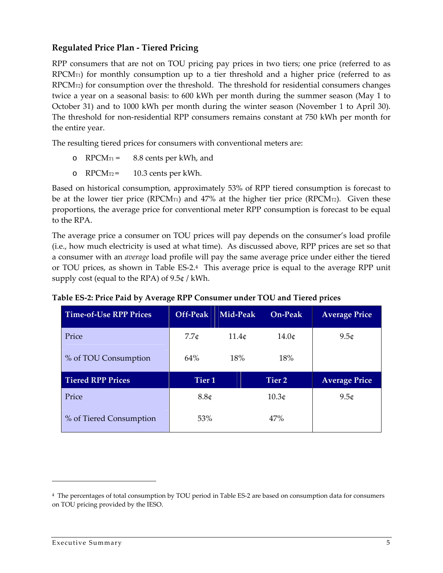#### **Regulated Price Plan ‐ Tiered Pricing**

RPP consumers that are not on TOU pricing pay prices in two tiers; one price (referred to as  $RPCM<sub>T1</sub>$ ) for monthly consumption up to a tier threshold and a higher price (referred to as  $RPCM<sub>T2</sub>$ ) for consumption over the threshold. The threshold for residential consumers changes twice a year on a seasonal basis: to 600 kWh per month during the summer season (May 1 to October 31) and to 1000 kWh per month during the winter season (November 1 to April 30). The threshold for non-residential RPP consumers remains constant at 750 kWh per month for the entire year.

The resulting tiered prices for consumers with conventional meters are:

- o  $RPCM_{T1} = 8.8$  cents per kWh, and
- o  $RPCM_{T2}$  = 10.3 cents per kWh.

Based on historical consumption, approximately 53% of RPP tiered consumption is forecast to be at the lower tier price (RPCM $\pi$ ) and 47% at the higher tier price (RPCM $\pi$ 2). Given these proportions, the average price for conventional meter RPP consumption is forecast to be equal to the RPA.

The average price a consumer on TOU prices will pay depends on the consumer's load profile (i.e., how much electricity is used at what time). As discussed above, RPP prices are set so that a consumer with an *average* load profile will pay the same average price under either the tiered or TOU prices, as shown in Table ES‐2.<sup>4</sup> This average price is equal to the average RPP unit supply cost (equal to the RPA) of 9.5¢ / kWh.

| <b>Time-of-Use RPP Prices</b> | Off-Peak          | Mid-Peak | <b>On-Peak</b>    | <b>Average Price</b> |
|-------------------------------|-------------------|----------|-------------------|----------------------|
| Price                         | 7.7c              | 11.4c    | 14.0 <sub>¢</sub> | 9.5 <sub>¢</sub>     |
| % of TOU Consumption          | 64%               | 18%      | 18%               |                      |
| <b>Tiered RPP Prices</b>      | Tier <sub>1</sub> |          | Tier 2            | <b>Average Price</b> |
| Price                         | 8.8c              |          | 10.3 <sub>¢</sub> | 9.5 <sub>¢</sub>     |
| % of Tiered Consumption       | 53%               |          | 47%               |                      |

| Table ES-2: Price Paid by Average RPP Consumer under TOU and Tiered prices |  |
|----------------------------------------------------------------------------|--|
|                                                                            |  |

<sup>4</sup> The percentages of total consumption by TOU period in Table ES‐2 are based on consumption data for consumers on TOU pricing provided by the IESO.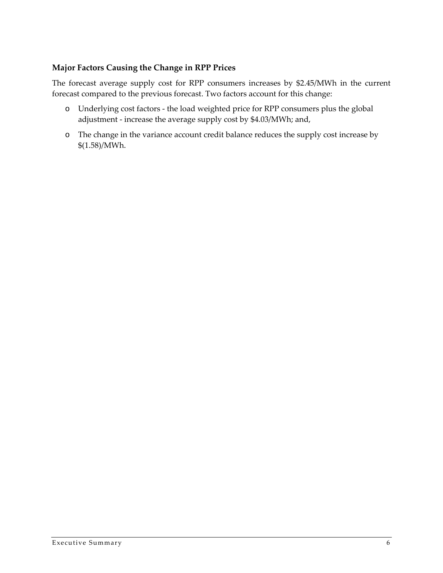#### **Major Factors Causing the Change in RPP Prices**

The forecast average supply cost for RPP consumers increases by \$2.45/MWh in the current forecast compared to the previous forecast. Two factors account for this change:

- o Underlying cost factors ‐ the load weighted price for RPP consumers plus the global adjustment ‐ increase the average supply cost by \$4.03/MWh; and,
- o The change in the variance account credit balance reduces the supply cost increase by \$(1.58)/MWh.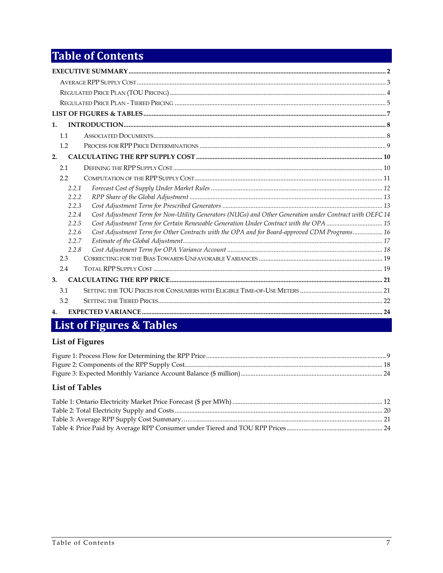### **Table of Contents**

| $\mathbf{1}$ .                                                                                                   |  |
|------------------------------------------------------------------------------------------------------------------|--|
| 1.1                                                                                                              |  |
| 1.2                                                                                                              |  |
| 2.                                                                                                               |  |
| 2.1                                                                                                              |  |
| 2.2                                                                                                              |  |
| 2.2.1                                                                                                            |  |
| 2.2.2                                                                                                            |  |
| 2.2.3                                                                                                            |  |
| Cost Adjustment Term for Non-Utility Generators (NUGs) and Other Generation under Contract with OEFC 14<br>2.2.4 |  |
| Cost Adjustment Term for Certain Renewable Generation Under Contract with the OPA  15<br>2.2.5                   |  |
| Cost Adjustment Term for Other Contracts with the OPA and for Board-approved CDM Programs 16<br>2.2.6            |  |
| 2.2.7                                                                                                            |  |
| 2.2.8                                                                                                            |  |
| 2.3                                                                                                              |  |
| 2.4                                                                                                              |  |
| 3.                                                                                                               |  |
| 3.1                                                                                                              |  |
| 3.2                                                                                                              |  |
| 4.                                                                                                               |  |

### List of Figures & Tables

#### **List of Figures**

#### **List of Tables**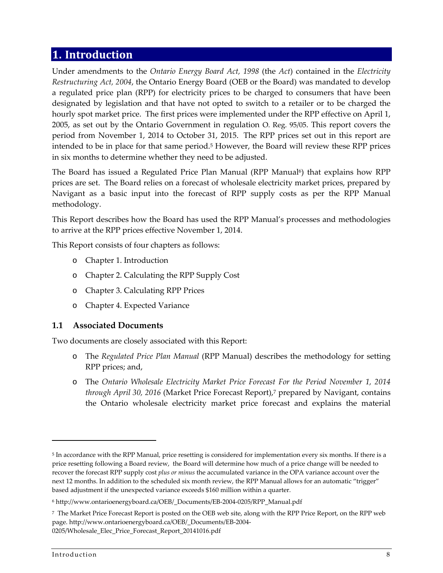#### **1. Introduction**

Under amendments to the *Ontario Energy Board Act, 1998* (the *Act*) contained in the *Electricity Restructuring Act, 2004*, the Ontario Energy Board (OEB or the Board) was mandated to develop a regulated price plan (RPP) for electricity prices to be charged to consumers that have been designated by legislation and that have not opted to switch to a retailer or to be charged the hourly spot market price. The first prices were implemented under the RPP effective on April 1, 2005, as set out by the Ontario Government in regulation O. Reg. 95/05. This report covers the period from November 1, 2014 to October 31, 2015. The RPP prices set out in this report are intended to be in place for that same period.<sup>5</sup> However, the Board will review these RPP prices in six months to determine whether they need to be adjusted.

The Board has issued a Regulated Price Plan Manual  $(RPP$  Manual<sup>6</sup>) that explains how RPP prices are set. The Board relies on a forecast of wholesale electricity market prices, prepared by Navigant as a basic input into the forecast of RPP supply costs as per the RPP Manual methodology.

This Report describes how the Board has used the RPP Manual's processes and methodologies to arrive at the RPP prices effective November 1, 2014.

This Report consists of four chapters as follows:

- o Chapter 1. Introduction
- o Chapter 2. Calculating the RPP Supply Cost
- o Chapter 3. Calculating RPP Prices
- o Chapter 4. Expected Variance

#### **1.1 Associated Documents**

<u> 1989 - Johann Stein, marwolaethau a bhann an t-Amhair Aonaichte an t-Amhair Aonaichte an t-Amhair Aonaichte a</u>

Two documents are closely associated with this Report:

- o The *Regulated Price Plan Manual* (RPP Manual) describes the methodology for setting RPP prices; and,
- o The *Ontario Wholesale Electricity Market Price Forecast For the Period November 1, 2014 through April 30, 2016* (Market Price Forecast Report),<sup>7</sup> prepared by Navigant, contains the Ontario wholesale electricity market price forecast and explains the material

<sup>5</sup> In accordance with the RPP Manual, price resetting is considered for implementation every six months. If there is a price resetting following a Board review, the Board will determine how much of a price change will be needed to recover the forecast RPP supply cost *plus or minus* the accumulated variance in the OPA variance account over the next 12 months. In addition to the scheduled six month review, the RPP Manual allows for an automatic "trigger" based adjustment if the unexpected variance exceeds \$160 million within a quarter.

<sup>6</sup> http://www.ontarioenergyboard.ca/OEB/\_Documents/EB‐2004‐0205/RPP\_Manual.pdf

<sup>7</sup> The Market Price Forecast Report is posted on the OEB web site, along with the RPP Price Report, on the RPP web page. http://www.ontarioenergyboard.ca/OEB/\_Documents/EB‐2004‐ [0205/Wholesale\\_Elec\\_Price\\_Forecast\\_Report\\_20141016.pdf](http://www.ontarioenergyboard.ca/oeb/_Documents/EB-2004-0205/Wholesale_Elec_Price_Forecast_Report_20141016.pdf)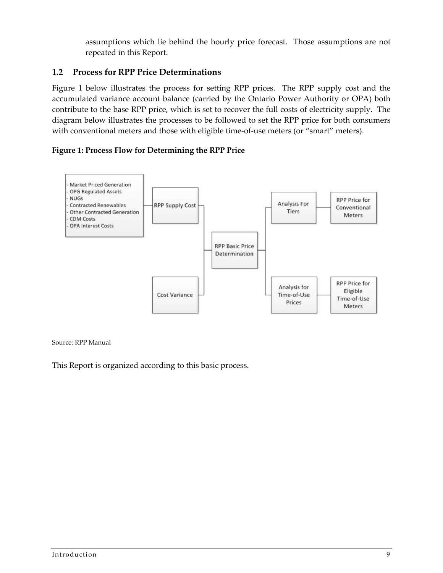assumptions which lie behind the hourly price forecast. Those assumptions are not repeated in this Report.

#### **1.2 Process for RPP Price Determinations**

Figure 1 below illustrates the process for setting RPP prices. The RPP supply cost and the accumulated variance account balance (carried by the Ontario Power Authority or OPA) both contribute to the base RPP price, which is set to recover the full costs of electricity supply. The diagram below illustrates the processes to be followed to set the RPP price for both consumers with conventional meters and those with eligible time-of-use meters (or "smart" meters).

#### **Figure 1: Process Flow for Determining the RPP Price**



#### Source: RPP Manual

This Report is organized according to this basic process.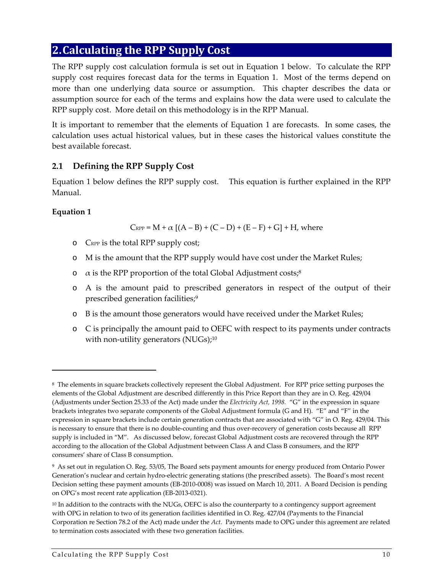#### **2.Calculating the RPP Supply Cost**

The RPP supply cost calculation formula is set out in Equation 1 below. To calculate the RPP supply cost requires forecast data for the terms in Equation 1. Most of the terms depend on more than one underlying data source or assumption. This chapter describes the data or assumption source for each of the terms and explains how the data were used to calculate the RPP supply cost. More detail on this methodology is in the RPP Manual.

It is important to remember that the elements of Equation 1 are forecasts. In some cases, the calculation uses actual historical values, but in these cases the historical values constitute the best available forecast.

#### **2.1 Defining the RPP Supply Cost**

Equation 1 below defines the RPP supply cost. This equation is further explained in the RPP Manual.

#### **Equation 1**

 $C_{RPP} = M + \alpha [(A - B) + (C - D) + (E - F) + G] + H$ , where

- o CRPP is the total RPP supply cost;
- o M is the amount that the RPP supply would have cost under the Market Rules;
- $\alpha$  is the RPP proportion of the total Global Adjustment costs;<sup>8</sup>
- o A is the amount paid to prescribed generators in respect of the output of their prescribed generation facilities;<sup>9</sup>
- o B is the amount those generators would have received under the Market Rules;
- o C is principally the amount paid to OEFC with respect to its payments under contracts with non-utility generators (NUGs);<sup>10</sup>

<sup>8</sup> The elements in square brackets collectively represent the Global Adjustment. For RPP price setting purposes the elements of the Global Adjustment are described differently in this Price Report than they are in O. Reg. 429/04 (Adjustments under Section 25.33 of the Act) made under the *Electricity Act, 1998.* "G" in the expression in square brackets integrates two separate components of the Global Adjustment formula (G and H). "E" and "F" in the expression in square brackets include certain generation contracts that are associated with "G" in O. Reg. 429/04. This is necessary to ensure that there is no double‐counting and thus over‐recovery of generation costs because all RPP supply is included in "M". As discussed below, forecast Global Adjustment costs are recovered through the RPP according to the allocation of the Global Adjustment between Class A and Class B consumers, and the RPP consumers' share of Class B consumption.

<sup>9</sup> As set out in regulation O. Reg. 53/05, The Board sets payment amounts for energy produced from Ontario Power Generation's nuclear and certain hydro‐electric generating stations (the prescribed assets). The Board's most recent Decision setting these payment amounts (EB‐2010‐0008) was issued on March 10, 2011. A Board Decision is pending on OPG's most recent rate application (EB‐2013‐0321).

<sup>&</sup>lt;sup>10</sup> In addition to the contracts with the NUGs, OEFC is also the counterparty to a contingency support agreement with OPG in relation to two of its generation facilities identified in O. Reg. 427/04 (Payments to the Financial Corporation re Section 78.2 of the Act) made under the Act. Payments made to OPG under this agreement are related to termination costs associated with these two generation facilities.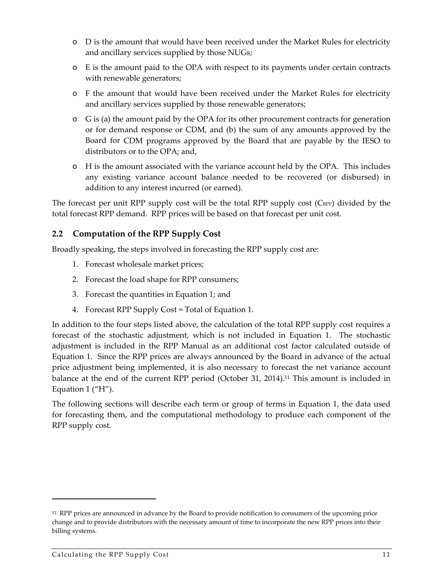- o D is the amount that would have been received under the Market Rules for electricity and ancillary services supplied by those NUGs;
- o E is the amount paid to the OPA with respect to its payments under certain contracts with renewable generators;
- o F the amount that would have been received under the Market Rules for electricity and ancillary services supplied by those renewable generators;
- o G is (a) the amount paid by the OPA for its other procurement contracts for generation or for demand response or CDM, and (b) the sum of any amounts approved by the Board for CDM programs approved by the Board that are payable by the IESO to distributors or to the OPA; and,
- o H is the amount associated with the variance account held by the OPA. This includes any existing variance account balance needed to be recovered (or disbursed) in addition to any interest incurred (or earned).

The forecast per unit RPP supply cost will be the total RPP supply cost (C<sub>RPP</sub>) divided by the total forecast RPP demand. RPP prices will be based on that forecast per unit cost.

#### **2.2 Computation of the RPP Supply Cost**

Broadly speaking, the steps involved in forecasting the RPP supply cost are:

- 1. Forecast wholesale market prices;
- 2. Forecast the load shape for RPP consumers;
- 3. Forecast the quantities in Equation 1; and
- 4. Forecast RPP Supply Cost = Total of Equation 1.

In addition to the four steps listed above, the calculation of the total RPP supply cost requires a forecast of the stochastic adjustment, which is not included in Equation 1. The stochastic adjustment is included in the RPP Manual as an additional cost factor calculated outside of Equation 1. Since the RPP prices are always announced by the Board in advance of the actual price adjustment being implemented, it is also necessary to forecast the net variance account balance at the end of the current RPP period (October 31, 2014).<sup>11</sup> This amount is included in Equation 1 ("H").

The following sections will describe each term or group of terms in Equation 1, the data used for forecasting them, and the computational methodology to produce each component of the RPP supply cost.

<sup>11</sup> RPP prices are announced in advance by the Board to provide notification to consumers of the upcoming price change and to provide distributors with the necessary amount of time to incorporate the new RPP prices into their billing systems.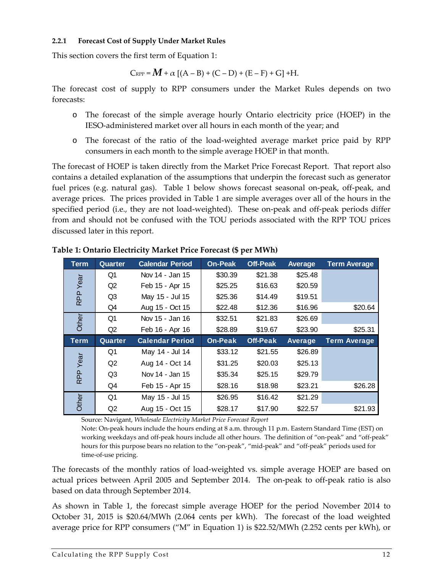#### **2.2.1 Forecast Cost of Supply Under Market Rules**

This section covers the first term of Equation 1:

$$
\text{C}_{\text{RPP}} = M + \alpha \left[ (A - B) + (C - D) + (E - F) + G \right] + H.
$$

The forecast cost of supply to RPP consumers under the Market Rules depends on two forecasts:

- o The forecast of the simple average hourly Ontario electricity price (HOEP) in the IESO‐administered market over all hours in each month of the year; and
- o The forecast of the ratio of the load‐weighted average market price paid by RPP consumers in each month to the simple average HOEP in that month.

The forecast of HOEP is taken directly from the Market Price Forecast Report. That report also contains a detailed explanation of the assumptions that underpin the forecast such as generator fuel prices (e.g. natural gas). Table 1 below shows forecast seasonal on-peak, off-peak, and average prices. The prices provided in Table 1 are simple averages over all of the hours in the specified period (i.e., they are not load-weighted). These on-peak and off-peak periods differ from and should not be confused with the TOU periods associated with the RPP TOU prices discussed later in this report.

| <b>Term</b> | <b>Quarter</b> | <b>Calendar Period</b> | <b>On-Peak</b> | <b>Off-Peak</b> | Average | <b>Term Average</b> |
|-------------|----------------|------------------------|----------------|-----------------|---------|---------------------|
|             | Q1             | Nov 14 - Jan 15        | \$30.39        | \$21.38         | \$25.48 |                     |
| Year        | Q2             | Feb 15 - Apr 15        | \$25.25        | \$16.63         | \$20.59 |                     |
| RPP         | Q <sub>3</sub> | May 15 - Jul 15        | \$25.36        | \$14.49         | \$19.51 |                     |
|             | Q4             | Aug 15 - Oct 15        | \$22.48        | \$12.36         | \$16.96 | \$20.64             |
| Other       | Q1             | Nov 15 - Jan 16        | \$32.51        | \$21.83         | \$26.69 |                     |
|             | Q2             | Feb 16 - Apr 16        | \$28.89        | \$19.67         | \$23.90 | \$25.31             |
|             |                |                        |                |                 |         |                     |
| Term        | Quarter        | <b>Calendar Period</b> | <b>On-Peak</b> | <b>Off-Peak</b> | Average | <b>Term Average</b> |
|             | Q1             | May 14 - Jul 14        | \$33.12        | \$21.55         | \$26.89 |                     |
|             | Q2             | Aug 14 - Oct 14        | \$31.25        | \$20.03         | \$25.13 |                     |
| Year        | Q3             | Nov 14 - Jan 15        | \$35.34        | \$25.15         | \$29.79 |                     |
| <b>RPP</b>  | Q4             | Feb 15 - Apr 15        | \$28.16        | \$18.98         | \$23.21 | \$26.28             |
| Other       | Q1             | May 15 - Jul 15        | \$26.95        | \$16.42         | \$21.29 |                     |

**Table 1: Ontario Electricity Market Price Forecast (\$ per MWh)**

Source: Navigant, *Wholesale Electricity Market Price Forecast Report*

Note: On‐peak hours include the hours ending at 8 a.m. through 11 p.m. Eastern Standard Time (EST) on working weekdays and off-peak hours include all other hours. The definition of "on-peak" and "off-peak" hours for this purpose bears no relation to the "on-peak", "mid-peak" and "off-peak" periods used for time‐of‐use pricing.

The forecasts of the monthly ratios of load‐weighted vs. simple average HOEP are based on actual prices between April 2005 and September 2014. The on-peak to off-peak ratio is also based on data through September 2014.

As shown in Table 1, the forecast simple average HOEP for the period November 2014 to October 31, 2015 is \$20.64/MWh (2.064 cents per kWh). The forecast of the load weighted average price for RPP consumers ("M" in Equation 1) is \$22.52/MWh (2.252 cents per kWh), or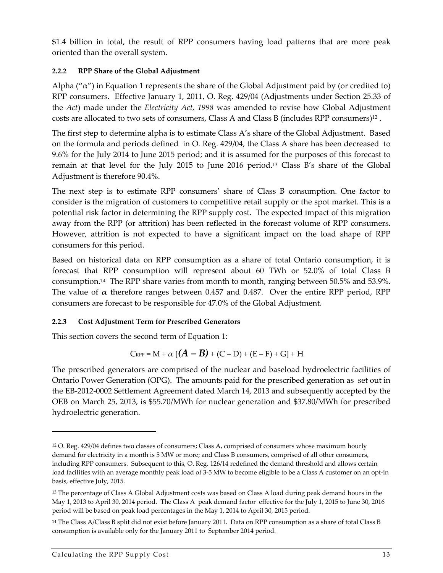\$1.4 billion in total, the result of RPP consumers having load patterns that are more peak oriented than the overall system.

#### **2.2.2 RPP Share of the Global Adjustment**

Alpha (" $\alpha$ ") in Equation 1 represents the share of the Global Adjustment paid by (or credited to) RPP consumers. Effective January 1, 2011, O. Reg. 429/04 (Adjustments under Section 25.33 of the *Act*) made under the *Electricity Act, 1998* was amended to revise how Global Adjustment costs are allocated to two sets of consumers, Class A and Class B (includes RPP consumers)<sup>12</sup> .

The first step to determine alpha is to estimate Class A's share of the Global Adjustment. Based on the formula and periods defined in O. Reg. 429/04, the Class A share has been decreased to 9.6% for the July 2014 to June 2015 period; and it is assumed for the purposes of this forecast to remain at that level for the July 2015 to June 2016 period.<sup>13</sup> Class B's share of the Global Adjustment is therefore 90.4%.

The next step is to estimate RPP consumers' share of Class B consumption. One factor to consider is the migration of customers to competitive retail supply or the spot market. This is a potential risk factor in determining the RPP supply cost. The expected impact of this migration away from the RPP (or attrition) has been reflected in the forecast volume of RPP consumers. However, attrition is not expected to have a significant impact on the load shape of RPP consumers for this period.

Based on historical data on RPP consumption as a share of total Ontario consumption, it is forecast that RPP consumption will represent about 60 TWh or 52.0% of total Class B consumption.<sup>14</sup> The RPP share varies from month to month, ranging between 50.5% and 53.9%. The value of  $\alpha$  therefore ranges between 0.457 and 0.487. Over the entire RPP period, RPP consumers are forecast to be responsible for 47.0% of the Global Adjustment.

#### **2.2.3 Cost Adjustment Term for Prescribed Generators**

This section covers the second term of Equation 1:

$$
\mathrm{C}_{\mathrm{RPP}} = \mathrm{M} + \alpha \left[ \left( A - B \right) + \left( \mathrm{C} - \mathrm{D} \right) + \left( \mathrm{E} - \mathrm{F} \right) + \mathrm{G} \right] + \mathrm{H}
$$

The prescribed generators are comprised of the nuclear and baseload hydroelectric facilities of Ontario Power Generation (OPG). The amounts paid for the prescribed generation as set out in the EB‐2012‐0002 Settlement Agreement dated March 14, 2013 and subsequently accepted by the OEB on March 25, 2013, is \$55.70/MWh for nuclear generation and \$37.80/MWh for prescribed hydroelectric generation.

<sup>12</sup> O. Reg. 429/04 defines two classes of consumers; Class A, comprised of consumers whose maximum hourly demand for electricity in a month is 5 MW or more; and Class B consumers, comprised of all other consumers, including RPP consumers. Subsequent to this, O. Reg. 126/14 redefined the demand threshold and allows certain load facilities with an average monthly peak load of 3-5 MW to become eligible to be a Class A customer on an opt-in basis, effective July, 2015.

<sup>13</sup> The percentage of Class A Global Adjustment costs was based on Class A load during peak demand hours in the May 1, 2013 to April 30, 2014 period. The Class A peak demand factor effective for the July 1, 2015 to June 30, 2016 period will be based on peak load percentages in the May 1, 2014 to April 30, 2015 period.

<sup>14</sup> The Class A/Class B split did not exist before January 2011. Data on RPP consumption as a share of total Class B consumption is available only for the January 2011 to September 2014 period.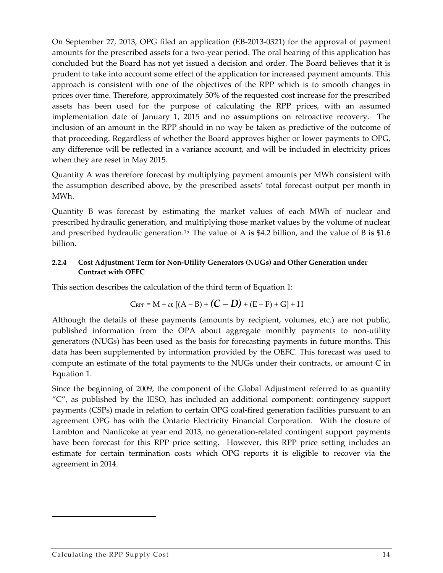On September 27, 2013, OPG filed an application (EB‐2013‐0321) for the approval of payment amounts for the prescribed assets for a two-year period. The oral hearing of this application has concluded but the Board has not yet issued a decision and order. The Board believes that it is prudent to take into account some effect of the application for increased payment amounts. This approach is consistent with one of the objectives of the RPP which is to smooth changes in prices over time. Therefore, approximately 50% of the requested cost increase for the prescribed assets has been used for the purpose of calculating the RPP prices, with an assumed implementation date of January 1, 2015 and no assumptions on retroactive recovery. The inclusion of an amount in the RPP should in no way be taken as predictive of the outcome of that proceeding. Regardless of whether the Board approves higher or lower payments to OPG, any difference will be reflected in a variance account, and will be included in electricity prices when they are reset in May 2015.

Quantity A was therefore forecast by multiplying payment amounts per MWh consistent with the assumption described above, by the prescribed assets' total forecast output per month in MWh.

Quantity B was forecast by estimating the market values of each MWh of nuclear and prescribed hydraulic generation, and multiplying those market values by the volume of nuclear and prescribed hydraulic generation.<sup>15</sup> The value of A is \$4.2 billion, and the value of B is \$1.6 billion.

#### **2.2.4 Cost Adjustment Term for Non‐Utility Generators (NUGs) and Other Generation under Contract with OEFC**

This section describes the calculation of the third term of Equation 1:

$$
C_{\text{RPP}} = M + \alpha [(A - B) + (C - D) + (E - F) + G] + H
$$

Although the details of these payments (amounts by recipient, volumes, etc.) are not public, published information from the OPA about aggregate monthly payments to non‐utility generators (NUGs) has been used as the basis for forecasting payments in future months. This data has been supplemented by information provided by the OEFC. This forecast was used to compute an estimate of the total payments to the NUGs under their contracts, or amount C in Equation 1.

Since the beginning of 2009, the component of the Global Adjustment referred to as quantity "C", as published by the IESO, has included an additional component: contingency support payments (CSPs) made in relation to certain OPG coal‐fired generation facilities pursuant to an agreement OPG has with the Ontario Electricity Financial Corporation. With the closure of Lambton and Nanticoke at year end 2013, no generation-related contingent support payments have been forecast for this RPP price setting. However, this RPP price setting includes an estimate for certain termination costs which OPG reports it is eligible to recover via the agreement in 2014.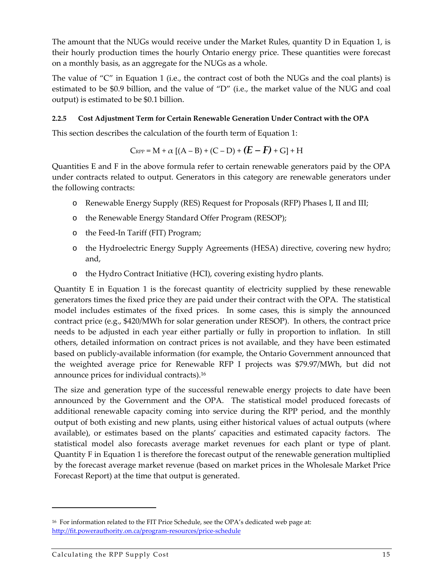The amount that the NUGs would receive under the Market Rules, quantity D in Equation 1, is their hourly production times the hourly Ontario energy price. These quantities were forecast on a monthly basis, as an aggregate for the NUGs as a whole.

The value of " $C$ " in Equation 1 (i.e., the contract cost of both the NUGs and the coal plants) is estimated to be \$0.9 billion, and the value of "D" (i.e., the market value of the NUG and coal output) is estimated to be \$0.1 billion.

#### **2.2.5 Cost Adjustment Term for Certain Renewable Generation Under Contract with the OPA**

This section describes the calculation of the fourth term of Equation 1:

$$
C_{\text{RPP}} = M + \alpha [(A - B) + (C - D) + (E - F) + G] + H
$$

Quantities E and F in the above formula refer to certain renewable generators paid by the OPA under contracts related to output. Generators in this category are renewable generators under the following contracts:

- o Renewable Energy Supply (RES) Request for Proposals (RFP) Phases I, II and III;
- o the Renewable Energy Standard Offer Program (RESOP);
- o the Feed‐In Tariff (FIT) Program;
- o the Hydroelectric Energy Supply Agreements (HESA) directive, covering new hydro; and,
- o the Hydro Contract Initiative (HCI), covering existing hydro plants.

Quantity E in Equation 1 is the forecast quantity of electricity supplied by these renewable generators times the fixed price they are paid under their contract with the OPA. The statistical model includes estimates of the fixed prices. In some cases, this is simply the announced contract price (e.g., \$420/MWh for solar generation under RESOP). In others, the contract price needs to be adjusted in each year either partially or fully in proportion to inflation. In still others, detailed information on contract prices is not available, and they have been estimated based on publicly‐available information (for example, the Ontario Government announced that the weighted average price for Renewable RFP I projects was \$79.97/MWh, but did not announce prices for individual contracts).<sup>16</sup>

The size and generation type of the successful renewable energy projects to date have been announced by the Government and the OPA. The statistical model produced forecasts of additional renewable capacity coming into service during the RPP period, and the monthly output of both existing and new plants, using either historical values of actual outputs (where available), or estimates based on the plants' capacities and estimated capacity factors. The statistical model also forecasts average market revenues for each plant or type of plant. Quantity F in Equation 1 is therefore the forecast output of the renewable generation multiplied by the forecast average market revenue (based on market prices in the Wholesale Market Price Forecast Report) at the time that output is generated.

<sup>16</sup> For information related to the FIT Price Schedule, see the OPA's dedicated web page at: http://fit.powerauthority.on.ca/program‐resources/price‐schedule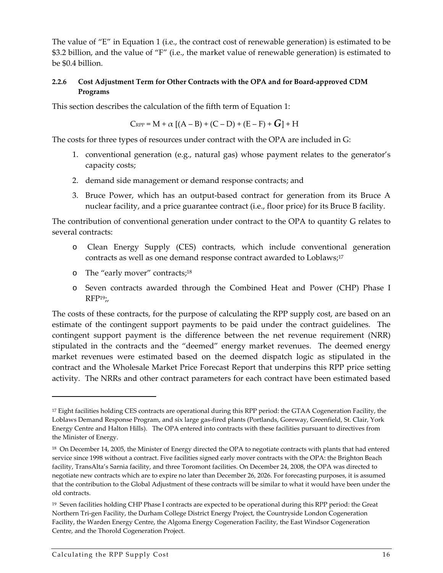The value of "E" in Equation 1 (i.e., the contract cost of renewable generation) is estimated to be \$3.2 billion, and the value of "F" (i.e., the market value of renewable generation) is estimated to be \$0.4 billion.

#### **2.2.6 Cost Adjustment Term for Other Contracts with the OPA and for Board‐approved CDM Programs**

This section describes the calculation of the fifth term of Equation 1:

$$
\text{C}_{\text{RPP}} = \text{M} + \alpha \, \left[ (\text{A}-\text{B}) + (\text{C}-\text{D}) + (\text{E}-\text{F}) + \text{G} \right] + \text{H}
$$

The costs for three types of resources under contract with the OPA are included in G:

- 1. conventional generation (e.g., natural gas) whose payment relates to the generator's capacity costs;
- 2. demand side management or demand response contracts; and
- 3. Bruce Power, which has an output‐based contract for generation from its Bruce A nuclear facility, and a price guarantee contract (i.e., floor price) for its Bruce B facility.

The contribution of conventional generation under contract to the OPA to quantity G relates to several contracts:

- o Clean Energy Supply (CES) contracts, which include conventional generation contracts as well as one demand response contract awarded to Loblaws;<sup>17</sup>
- o The "early mover" contracts;<sup>18</sup>
- o Seven contracts awarded through the Combined Heat and Power (CHP) Phase I  $RFP<sub>19</sub>$ ;

The costs of these contracts, for the purpose of calculating the RPP supply cost, are based on an estimate of the contingent support payments to be paid under the contract guidelines. The contingent support payment is the difference between the net revenue requirement (NRR) stipulated in the contracts and the "deemed" energy market revenues. The deemed energy market revenues were estimated based on the deemed dispatch logic as stipulated in the contract and the Wholesale Market Price Forecast Report that underpins this RPP price setting activity. The NRRs and other contract parameters for each contract have been estimated based

<sup>17</sup> Eight facilities holding CES contracts are operational during this RPP period: the GTAA Cogeneration Facility, the Loblaws Demand Response Program, and six large gas‐fired plants (Portlands, Goreway, Greenfield, St. Clair, York Energy Centre and Halton Hills). The OPA entered into contracts with these facilities pursuant to directives from the Minister of Energy.

<sup>18</sup> On December 14, 2005, the Minister of Energy directed the OPA to negotiate contracts with plants that had entered service since 1998 without a contract. Five facilities signed early mover contracts with the OPA: the Brighton Beach facility, TransAlta's Sarnia facility, and three Toromont facilities. On December 24, 2008, the OPA was directed to negotiate new contracts which are to expire no later than December 26, 2026. For forecasting purposes, it is assumed that the contribution to the Global Adjustment of these contracts will be similar to what it would have been under the old contracts.

<sup>19</sup> Seven facilities holding CHP Phase I contracts are expected to be operational during this RPP period: the Great Northern Tri‐gen Facility, the Durham College District Energy Project, the Countryside London Cogeneration Facility, the Warden Energy Centre, the Algoma Energy Cogeneration Facility, the East Windsor Cogeneration Centre, and the Thorold Cogeneration Project.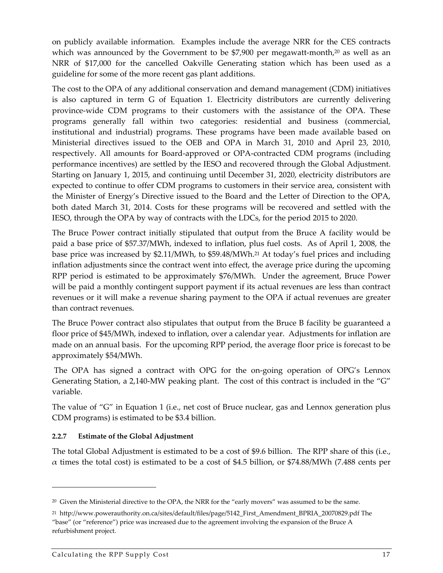on publicly available information. Examples include the average NRR for the CES contracts which was announced by the Government to be  $$7,900$  per megawatt-month,<sup>20</sup> as well as an NRR of \$17,000 for the cancelled Oakville Generating station which has been used as a guideline for some of the more recent gas plant additions.

The cost to the OPA of any additional conservation and demand management (CDM) initiatives is also captured in term G of Equation 1. Electricity distributors are currently delivering province‐wide CDM programs to their customers with the assistance of the OPA. These programs generally fall within two categories: residential and business (commercial, institutional and industrial) programs. These programs have been made available based on Ministerial directives issued to the OEB and OPA in March 31, 2010 and April 23, 2010, respectively. All amounts for Board‐approved or OPA‐contracted CDM programs (including performance incentives) are settled by the IESO and recovered through the Global Adjustment. Starting on January 1, 2015, and continuing until December 31, 2020, electricity distributors are expected to continue to offer CDM programs to customers in their service area, consistent with the Minister of Energy's Directive issued to the Board and the Letter of Direction to the OPA, both dated March 31, 2014. Costs for these programs will be recovered and settled with the IESO, through the OPA by way of contracts with the LDCs, for the period 2015 to 2020.

The Bruce Power contract initially stipulated that output from the Bruce A facility would be paid a base price of \$57.37/MWh, indexed to inflation, plus fuel costs. As of April 1, 2008, the base price was increased by \$2.11/MWh, to \$59.48/MWh.<sup>21</sup> At today's fuel prices and including inflation adjustments since the contract went into effect, the average price during the upcoming RPP period is estimated to be approximately \$76/MWh. Under the agreement, Bruce Power will be paid a monthly contingent support payment if its actual revenues are less than contract revenues or it will make a revenue sharing payment to the OPA if actual revenues are greater than contract revenues.

The Bruce Power contract also stipulates that output from the Bruce B facility be guaranteed a floor price of \$45/MWh, indexed to inflation, over a calendar year. Adjustments for inflation are made on an annual basis. For the upcoming RPP period, the average floor price is forecast to be approximately \$54/MWh.

The OPA has signed a contract with OPG for the on-going operation of OPG's Lennox Generating Station, a 2,140-MW peaking plant. The cost of this contract is included in the "G" variable.

The value of "G" in Equation 1 (i.e., net cost of Bruce nuclear, gas and Lennox generation plus CDM programs) is estimated to be \$3.4 billion.

#### **2.2.7 Estimate of the Global Adjustment**

The total Global Adjustment is estimated to be a cost of \$9.6 billion. The RPP share of this (i.e., α times the total cost) is estimated to be a cost of \$4.5 billion, or \$74.88/MWh (7.488 cents per

<sup>&</sup>lt;sup>20</sup> Given the Ministerial directive to the OPA, the NRR for the "early movers" was assumed to be the same.

<sup>21</sup> http://www.powerauthority.on.ca/sites/default/files/page/5142\_First\_Amendment\_BPRIA\_20070829.pdf The "base" (or "reference") price was increased due to the agreement involving the expansion of the Bruce A refurbishment project.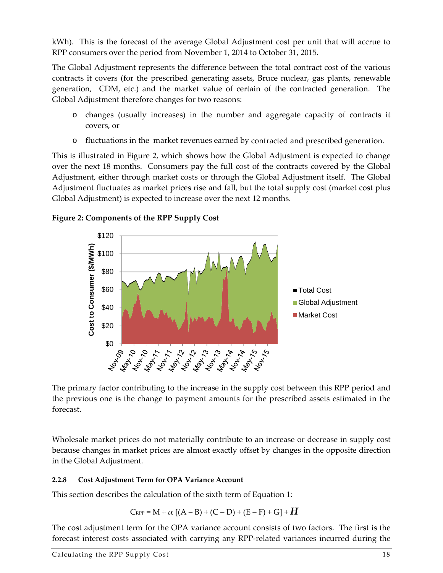kWh). This is the forecast of the average Global Adjustment cost per unit that will accrue to RPP consumers over the period from November 1, 2014 to October 31, 2015.

The Global Adjustment represents the difference between the total contract cost of the various contracts it covers (for the prescribed generating assets, Bruce nuclear, gas plants, renewable generation, CDM, etc.) and the market value of certain of the contracted generation. The Global Adjustment therefore changes for two reasons:

- o changes (usually increases) in the number and aggregate capacity of contracts it covers, or
- o fluctuations in the market revenues earned by contracted and prescribed generation.

This is illustrated in Figure 2, which shows how the Global Adjustment is expected to change over the next 18 months. Consumers pay the full cost of the contracts covered by the Global Adjustment, either through market costs or through the Global Adjustment itself. The Global Adjustment fluctuates as market prices rise and fall, but the total supply cost (market cost plus Global Adjustment) is expected to increase over the next 12 months.



**Figure 2: Components of the RPP Supply Cost**

The primary factor contributing to the increase in the supply cost between this RPP period and the previous one is the change to payment amounts for the prescribed assets estimated in the forecast.

Wholesale market prices do not materially contribute to an increase or decrease in supply cost because changes in market prices are almost exactly offset by changes in the opposite direction in the Global Adjustment.

#### **2.2.8 Cost Adjustment Term for OPA Variance Account**

This section describes the calculation of the sixth term of Equation 1:

$$
C_{\text{RPP}} = M + \alpha \left[ (A-B) + (C-D) + (E-F) + G \right] + H
$$

The cost adjustment term for the OPA variance account consists of two factors. The first is the forecast interest costs associated with carrying any RPP‐related variances incurred during the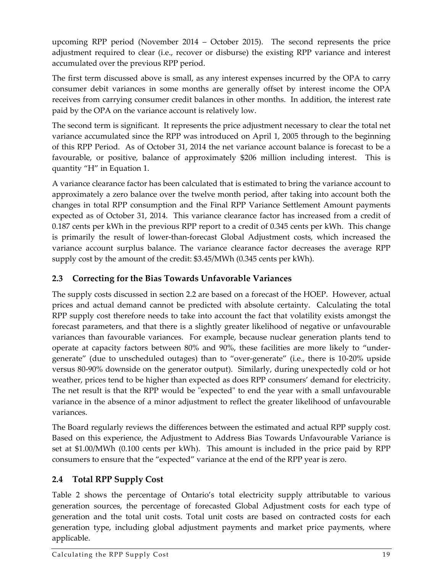upcoming RPP period (November 2014 – October 2015). The second represents the price adjustment required to clear (i.e., recover or disburse) the existing RPP variance and interest accumulated over the previous RPP period.

The first term discussed above is small, as any interest expenses incurred by the OPA to carry consumer debit variances in some months are generally offset by interest income the OPA receives from carrying consumer credit balances in other months. In addition, the interest rate paid by the OPA on the variance account is relatively low.

The second term is significant. It represents the price adjustment necessary to clear the total net variance accumulated since the RPP was introduced on April 1, 2005 through to the beginning of this RPP Period. As of October 31, 2014 the net variance account balance is forecast to be a favourable, or positive, balance of approximately \$206 million including interest. This is quantity "H" in Equation 1.

A variance clearance factor has been calculated that is estimated to bring the variance account to approximately a zero balance over the twelve month period, after taking into account both the changes in total RPP consumption and the Final RPP Variance Settlement Amount payments expected as of October 31, 2014. This variance clearance factor has increased from a credit of 0.187 cents per kWh in the previous RPP report to a credit of 0.345 cents per kWh. This change is primarily the result of lower‐than‐forecast Global Adjustment costs, which increased the variance account surplus balance. The variance clearance factor decreases the average RPP supply cost by the amount of the credit: \$3.45/MWh (0.345 cents per kWh).

#### **2.3 Correcting for the Bias Towards Unfavorable Variances**

The supply costs discussed in section 2.2 are based on a forecast of the HOEP. However, actual prices and actual demand cannot be predicted with absolute certainty. Calculating the total RPP supply cost therefore needs to take into account the fact that volatility exists amongst the forecast parameters, and that there is a slightly greater likelihood of negative or unfavourable variances than favourable variances. For example, because nuclear generation plants tend to operate at capacity factors between 80% and 90%, these facilities are more likely to "under‐ generate" (due to unscheduled outages) than to "over‐generate" (i.e., there is 10‐20% upside versus 80‐90% downside on the generator output). Similarly, during unexpectedly cold or hot weather, prices tend to be higher than expected as does RPP consumers' demand for electricity. The net result is that the RPP would be "expected" to end the year with a small unfavourable variance in the absence of a minor adjustment to reflect the greater likelihood of unfavourable variances.

The Board regularly reviews the differences between the estimated and actual RPP supply cost. Based on this experience, the Adjustment to Address Bias Towards Unfavourable Variance is set at \$1.00/MWh (0.100 cents per kWh). This amount is included in the price paid by RPP consumers to ensure that the "expected" variance at the end of the RPP year is zero.

#### **2.4 Total RPP Supply Cost**

Table 2 shows the percentage of Ontario's total electricity supply attributable to various generation sources, the percentage of forecasted Global Adjustment costs for each type of generation and the total unit costs. Total unit costs are based on contracted costs for each generation type, including global adjustment payments and market price payments, where applicable.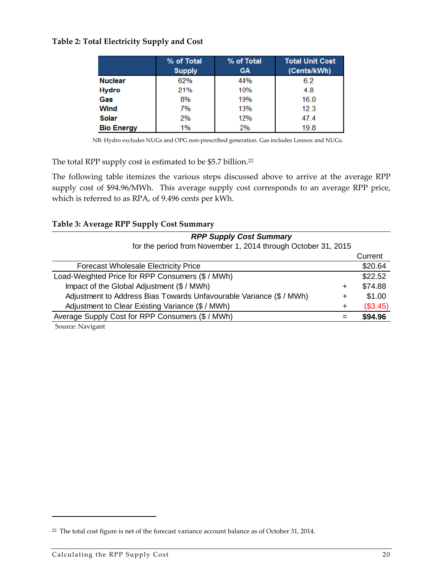#### **Table 2: Total Electricity Supply and Cost**

|                   | % of Total<br><b>Supply</b> | % of Total<br><b>GA</b> | <b>Total Unit Cost</b><br>(Cents/kWh) |
|-------------------|-----------------------------|-------------------------|---------------------------------------|
| <b>Nuclear</b>    | 62%                         | 44%                     | 6.2                                   |
| <b>Hydro</b>      | 21%                         | 10%                     | 4.8                                   |
| Gas               | 8%                          | 19%                     | 16.0                                  |
| Wind              | 7%                          | 13%                     | 12.3                                  |
| <b>Solar</b>      | 2%                          | 12%                     | 47.4                                  |
| <b>Bio Energy</b> | 1%                          | 2%                      | 19.8                                  |

NB: Hydro excludes NUGs and OPG non‐prescribed generation. Gas includes Lennox and NUGs.

The total RPP supply cost is estimated to be \$5.7 billion.<sup>22</sup>

The following table itemizes the various steps discussed above to arrive at the average RPP supply cost of \$94.96/MWh. This average supply cost corresponds to an average RPP price, which is referred to as RPA, of 9.496 cents per kWh.

|  |  |  |  |  | Table 3: Average RPP Supply Cost Summary |
|--|--|--|--|--|------------------------------------------|
|--|--|--|--|--|------------------------------------------|

| <b>RPP Supply Cost Summary</b>                                      |        |          |
|---------------------------------------------------------------------|--------|----------|
| for the period from November 1, 2014 through October 31, 2015       |        |          |
|                                                                     |        | Current  |
| <b>Forecast Wholesale Electricity Price</b>                         |        | \$20.64  |
| Load-Weighted Price for RPP Consumers (\$ / MWh)                    |        | \$22.52  |
| Impact of the Global Adjustment (\$ / MWh)                          | $\div$ | \$74.88  |
| Adjustment to Address Bias Towards Unfavourable Variance (\$ / MWh) | ٠      | \$1.00   |
| Adjustment to Clear Existing Variance (\$ / MWh)                    | ÷      | (\$3.45) |
| Average Supply Cost for RPP Consumers (\$ / MWh)                    |        | \$94.96  |
| Source: Navigant                                                    |        |          |

<sup>22</sup> The total cost figure is net of the forecast variance account balance as of October 31, 2014.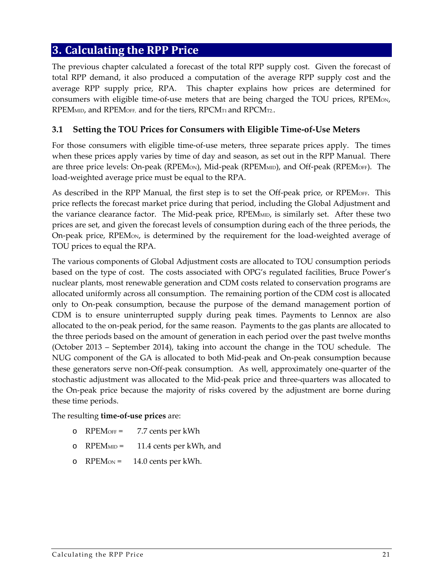#### **3. Calculating the RPP Price**

The previous chapter calculated a forecast of the total RPP supply cost. Given the forecast of total RPP demand, it also produced a computation of the average RPP supply cost and the average RPP supply price, RPA. This chapter explains how prices are determined for consumers with eligible time-of-use meters that are being charged the TOU prices, RPEM<sub>ON</sub>, RPEM<sub>MID</sub>, and RPEM<sub>OFF</sub>, and for the tiers, RPCM<sub>T1</sub> and RPCM<sub>T2</sub>.

#### **3.1 Setting the TOU Prices for Consumers with Eligible Time‐of‐Use Meters**

For those consumers with eligible time-of-use meters, three separate prices apply. The times when these prices apply varies by time of day and season, as set out in the RPP Manual. There are three price levels: On-peak (RPEM<sub>ON</sub>), Mid-peak (RPEM<sub>MID</sub>), and Off-peak (RPEM<sub>OFF</sub>). The load‐weighted average price must be equal to the RPA.

As described in the RPP Manual, the first step is to set the Off-peak price, or RPEMOFF. This price reflects the forecast market price during that period, including the Global Adjustment and the variance clearance factor. The Mid-peak price, RPEMMID, is similarly set. After these two prices are set, and given the forecast levels of consumption during each of the three periods, the On-peak price, RPEM<sub>ON</sub>, is determined by the requirement for the load-weighted average of TOU prices to equal the RPA.

The various components of Global Adjustment costs are allocated to TOU consumption periods based on the type of cost. The costs associated with OPG's regulated facilities, Bruce Power's nuclear plants, most renewable generation and CDM costs related to conservation programs are allocated uniformly across all consumption. The remaining portion of the CDM cost is allocated only to On‐peak consumption, because the purpose of the demand management portion of CDM is to ensure uninterrupted supply during peak times. Payments to Lennox are also allocated to the on‐peak period, for the same reason. Payments to the gas plants are allocated to the three periods based on the amount of generation in each period over the past twelve months (October 2013 – September 2014), taking into account the change in the TOU schedule. The NUG component of the GA is allocated to both Mid‐peak and On‐peak consumption because these generators serve non‐Off‐peak consumption. As well, approximately one‐quarter of the stochastic adjustment was allocated to the Mid‐peak price and three‐quarters was allocated to the On‐peak price because the majority of risks covered by the adjustment are borne during these time periods.

The resulting **time‐of‐use prices** are:

- o RPEMOFF = 7.7 cents per kWh
- o RPEMMID = 11.4 cents per kWh, and
- o  $RPEMon = 14.0 \text{ cents per kWh.}$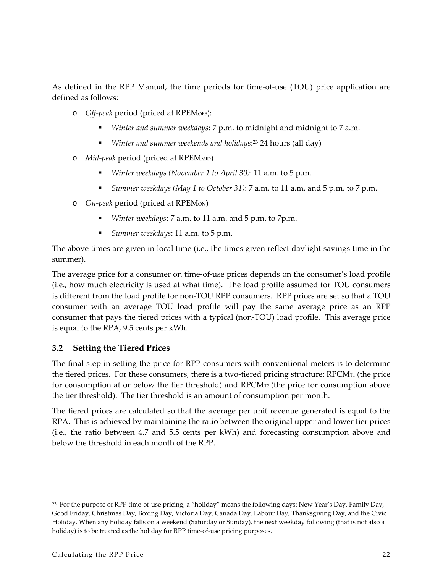As defined in the RPP Manual, the time periods for time-of-use (TOU) price application are defined as follows:

- o *Off‐peak* period (priced at RPEMOFF):
	- *Winter and summer weekdays*: 7 p.m. to midnight and midnight to 7 a.m.
	- *Winter and summer weekends and holidays*:<sup>23</sup> 24 hours (all day)
- o *Mid‐peak* period (priced at RPEMMID)
	- *Winter weekdays (November 1 to April 30)*: 11 a.m. to 5 p.m.
	- *Summer weekdays (May 1 to October 31)*: 7 a.m. to 11 a.m. and 5 p.m. to 7 p.m.
- o *On‐peak* period (priced at RPEMON)
	- *Winter weekdays*: 7 a.m. to 11 a.m. and 5 p.m. to 7p.m.
	- *Summer weekdays*: 11 a.m. to 5 p.m.

The above times are given in local time (i.e., the times given reflect daylight savings time in the summer).

The average price for a consumer on time-of-use prices depends on the consumer's load profile (i.e., how much electricity is used at what time). The load profile assumed for TOU consumers is different from the load profile for non‐TOU RPP consumers. RPP prices are set so that a TOU consumer with an average TOU load profile will pay the same average price as an RPP consumer that pays the tiered prices with a typical (non‐TOU) load profile. This average price is equal to the RPA, 9.5 cents per kWh.

#### **3.2 Setting the Tiered Prices**

The final step in setting the price for RPP consumers with conventional meters is to determine the tiered prices. For these consumers, there is a two-tiered pricing structure:  $\text{RPCM}_{\text{TI}}$  (the price for consumption at or below the tier threshold) and RPCMT2 (the price for consumption above the tier threshold). The tier threshold is an amount of consumption per month.

The tiered prices are calculated so that the average per unit revenue generated is equal to the RPA. This is achieved by maintaining the ratio between the original upper and lower tier prices (i.e., the ratio between 4.7 and 5.5 cents per kWh) and forecasting consumption above and below the threshold in each month of the RPP.

<sup>23</sup> For the purpose of RPP time‐of‐use pricing, a "holiday" means the following days: New Year's Day, Family Day, Good Friday, Christmas Day, Boxing Day, Victoria Day, Canada Day, Labour Day, Thanksgiving Day, and the Civic Holiday. When any holiday falls on a weekend (Saturday or Sunday), the next weekday following (that is not also a holiday) is to be treated as the holiday for RPP time-of-use pricing purposes.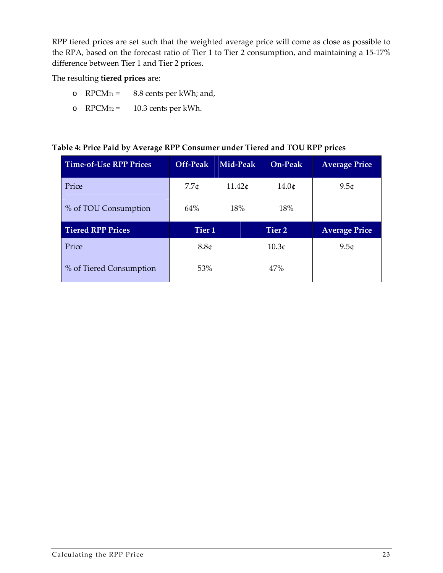RPP tiered prices are set such that the weighted average price will come as close as possible to the RPA, based on the forecast ratio of Tier 1 to Tier 2 consumption, and maintaining a 15-17% difference between Tier 1 and Tier 2 prices.

The resulting **tiered prices** are:

- o  $RPCM_{T1} = 8.8$  cents per kWh; and,
- o RPCMT2 = 10.3 cents per kWh.

#### **Table 4: Price Paid by Average RPP Consumer under Tiered and TOU RPP prices**

| <b>Time-of-Use RPP Prices</b> | Off-Peak          | Mid-Peak | On-Peak           | <b>Average Price</b> |
|-------------------------------|-------------------|----------|-------------------|----------------------|
| Price                         | 7.7c              | 11.42c   | 14.0c             | 9.5c                 |
| % of TOU Consumption          | 64%               | 18%      | 18%               |                      |
|                               |                   |          |                   |                      |
| <b>Tiered RPP Prices</b>      | Tier <sub>1</sub> |          | Tier 2            | <b>Average Price</b> |
| Price                         | 8.8 <sub>¢</sub>  |          | 10.3 <sub>¢</sub> | 9.5 <sub>¢</sub>     |